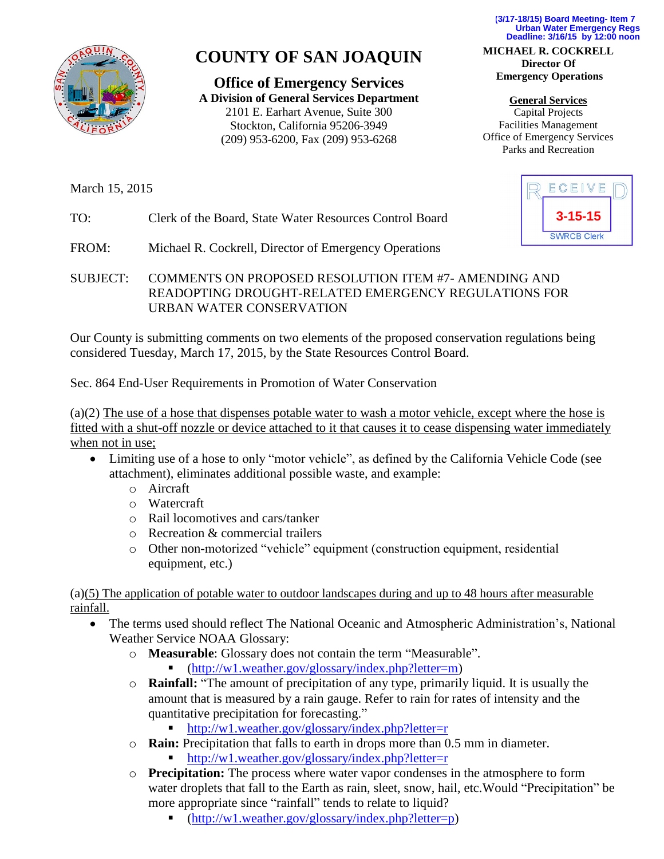

## **COUNTY OF SAN JOAQUIN**

**Office of Emergency Services A Division of General Services Department** 2101 E. Earhart Avenue, Suite 300 Stockton, California 95206-3949 (209) 953-6200, Fax (209) 953-6268

**(3/17-18/15) Board Meeting- Item 7 Urban Water Emergency Regs Deadline: 3/16/15 by 12:00 noon**

**MICHAEL R. COCKRELL Director Of Emergency Operations**

#### **General Services**

Capital Projects Facilities Management Office of Emergency Services Parks and Recreation

March 15, 2015

TO: Clerk of the Board, State Water Resources Control Board

FROM: Michael R. Cockrell, Director of Emergency Operations

SUBJECT: COMMENTS ON PROPOSED RESOLUTION ITEM #7- AMENDING AND READOPTING DROUGHT-RELATED EMERGENCY REGULATIONS FOR URBAN WATER CONSERVATION

Our County is submitting comments on two elements of the proposed conservation regulations being considered Tuesday, March 17, 2015, by the State Resources Control Board.

Sec. 864 End-User Requirements in Promotion of Water Conservation

(a)(2) The use of a hose that dispenses potable water to wash a motor vehicle, except where the hose is fitted with a shut-off nozzle or device attached to it that causes it to cease dispensing water immediately when not in use;

- Limiting use of a hose to only "motor vehicle", as defined by the California Vehicle Code (see attachment), eliminates additional possible waste, and example:
	- o Aircraft
	- o Watercraft
	- o Rail locomotives and cars/tanker
	- o Recreation & commercial trailers
	- o Other non-motorized "vehicle" equipment (construction equipment, residential equipment, etc.)

(a)(5) The application of potable water to outdoor landscapes during and up to 48 hours after measurable rainfall.

- The terms used should reflect The National Oceanic and Atmospheric Administration's, National Weather Service NOAA Glossary:
	- o **Measurable**: Glossary does not contain the term "Measurable".
		- [\(http://w1.weather.gov/glossary/index.php?letter=m\)](http://w1.weather.gov/glossary/index.php?letter=m)
	- o **Rainfall:** "The amount of precipitation of any type, primarily liquid. It is usually the amount that is measured by a rain gauge. Refer to rain for rates of intensity and the quantitative precipitation for forecasting."
		- <http://w1.weather.gov/glossary/index.php?letter=r>
	- o **Rain:** Precipitation that falls to earth in drops more than 0.5 mm in diameter.
		- $\blacksquare$  <http://w1.weather.gov/glossary/index.php?letter=r>
	- o **Precipitation:** The process where water vapor condenses in the atmosphere to form water droplets that fall to the Earth as rain, sleet, snow, hail, etc.Would "Precipitation" be more appropriate since "rainfall" tends to relate to liquid?
		- $(http://w1.weather.gov/glossary/index.php?letter=p)$

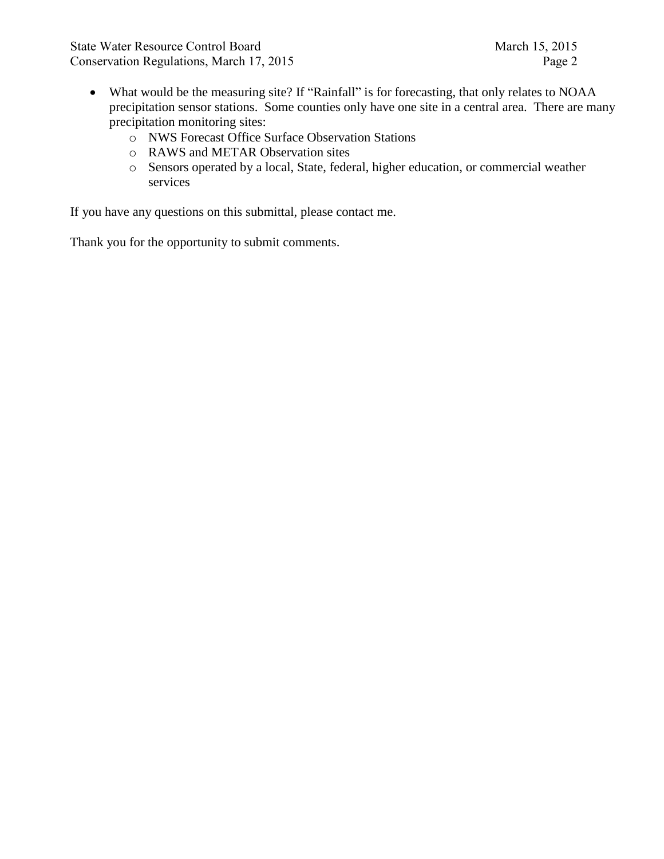- What would be the measuring site? If "Rainfall" is for forecasting, that only relates to NOAA precipitation sensor stations. Some counties only have one site in a central area. There are many precipitation monitoring sites:
	- o NWS Forecast Office Surface Observation Stations
	- o RAWS and METAR Observation sites
	- o Sensors operated by a local, State, federal, higher education, or commercial weather services

If you have any questions on this submittal, please contact me.

Thank you for the opportunity to submit comments.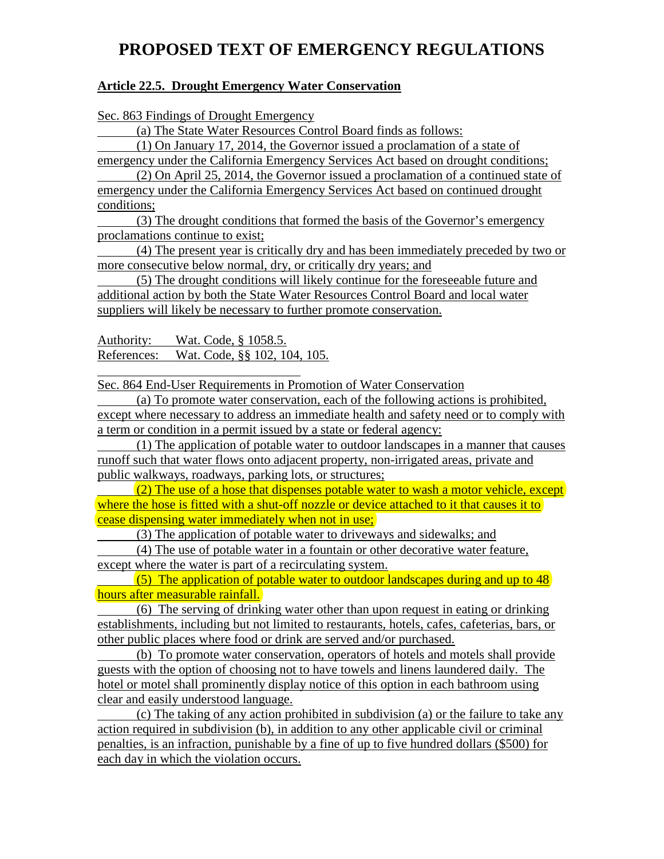#### **PROPOSED TEXT OF EMERGENCY REGULATIONS**

#### **Article 22.5. Drought Emergency Water Conservation**

Sec. 863 Findings of Drought Emergency

(a) The State Water Resources Control Board finds as follows:

(1) On January 17, 2014, the Governor issued a proclamation of a state of emergency under the California Emergency Services Act based on drought conditions;

(2) On April 25, 2014, the Governor issued a proclamation of a continued state of emergency under the California Emergency Services Act based on continued drought conditions;

(3) The drought conditions that formed the basis of the Governor's emergency proclamations continue to exist;

(4) The present year is critically dry and has been immediately preceded by two or more consecutive below normal, dry, or critically dry years; and

(5) The drought conditions will likely continue for the foreseeable future and additional action by both the State Water Resources Control Board and local water suppliers will likely be necessary to further promote conservation.

Authority: Wat. Code, § 1058.5. References: Wat. Code, §§ 102, 104, 105.

Sec. 864 End-User Requirements in Promotion of Water Conservation

(a) To promote water conservation, each of the following actions is prohibited, except where necessary to address an immediate health and safety need or to comply with a term or condition in a permit issued by a state or federal agency:

(1) The application of potable water to outdoor landscapes in a manner that causes runoff such that water flows onto adjacent property, non-irrigated areas, private and public walkways, roadways, parking lots, or structures;

(2) The use of a hose that dispenses potable water to wash a motor vehicle, except where the hose is fitted with a shut-off nozzle or device attached to it that causes it to cease dispensing water immediately when not in use;

(3) The application of potable water to driveways and sidewalks; and

(4) The use of potable water in a fountain or other decorative water feature, except where the water is part of a recirculating system.

(5) The application of potable water to outdoor landscapes during and up to 48 hours after measurable rainfall.

(6) The serving of drinking water other than upon request in eating or drinking establishments, including but not limited to restaurants, hotels, cafes, cafeterias, bars, or other public places where food or drink are served and/or purchased.

(b) To promote water conservation, operators of hotels and motels shall provide guests with the option of choosing not to have towels and linens laundered daily. The hotel or motel shall prominently display notice of this option in each bathroom using clear and easily understood language.

(c) The taking of any action prohibited in subdivision (a) or the failure to take any action required in subdivision (b), in addition to any other applicable civil or criminal penalties, is an infraction, punishable by a fine of up to five hundred dollars (\$500) for each day in which the violation occurs.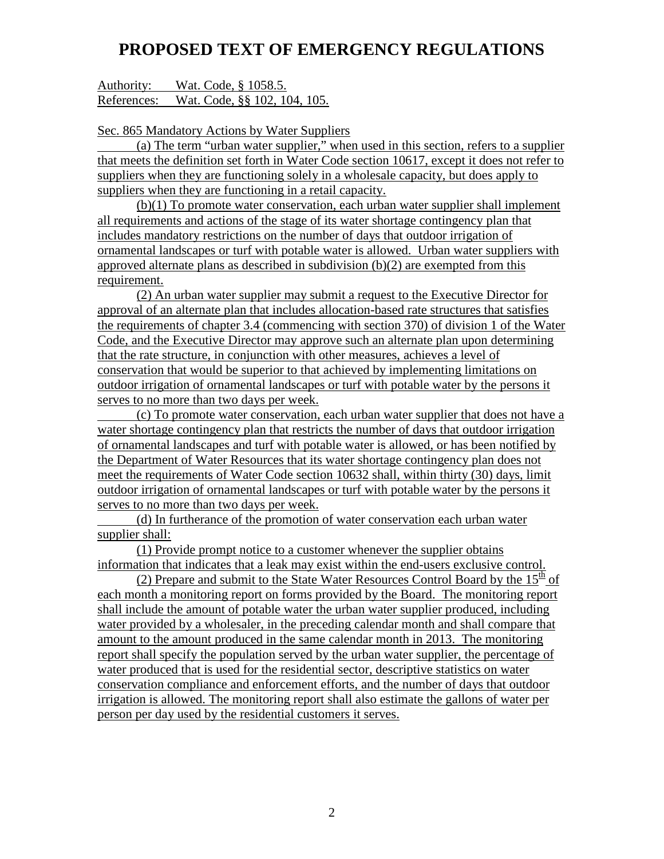#### **PROPOSED TEXT OF EMERGENCY REGULATIONS**

Authority: Wat. Code, § 1058.5. References: Wat. Code, §§ 102, 104, 105.

Sec. 865 Mandatory Actions by Water Suppliers

(a) The term "urban water supplier," when used in this section, refers to a supplier that meets the definition set forth in Water Code section 10617, except it does not refer to suppliers when they are functioning solely in a wholesale capacity, but does apply to suppliers when they are functioning in a retail capacity.

(b)(1) To promote water conservation, each urban water supplier shall implement all requirements and actions of the stage of its water shortage contingency plan that includes mandatory restrictions on the number of days that outdoor irrigation of ornamental landscapes or turf with potable water is allowed. Urban water suppliers with approved alternate plans as described in subdivision (b)(2) are exempted from this requirement.

(2) An urban water supplier may submit a request to the Executive Director for approval of an alternate plan that includes allocation-based rate structures that satisfies the requirements of chapter 3.4 (commencing with section 370) of division 1 of the Water Code, and the Executive Director may approve such an alternate plan upon determining that the rate structure, in conjunction with other measures, achieves a level of conservation that would be superior to that achieved by implementing limitations on outdoor irrigation of ornamental landscapes or turf with potable water by the persons it serves to no more than two days per week.

(c) To promote water conservation, each urban water supplier that does not have a water shortage contingency plan that restricts the number of days that outdoor irrigation of ornamental landscapes and turf with potable water is allowed, or has been notified by the Department of Water Resources that its water shortage contingency plan does not meet the requirements of Water Code section 10632 shall, within thirty (30) days, limit outdoor irrigation of ornamental landscapes or turf with potable water by the persons it serves to no more than two days per week.

(d) In furtherance of the promotion of water conservation each urban water supplier shall:

(1) Provide prompt notice to a customer whenever the supplier obtains information that indicates that a leak may exist within the end-users exclusive control.

(2) Prepare and submit to the State Water Resources Control Board by the  $15<sup>th</sup>$  of each month a monitoring report on forms provided by the Board. The monitoring report shall include the amount of potable water the urban water supplier produced, including water provided by a wholesaler, in the preceding calendar month and shall compare that amount to the amount produced in the same calendar month in 2013. The monitoring report shall specify the population served by the urban water supplier, the percentage of water produced that is used for the residential sector, descriptive statistics on water conservation compliance and enforcement efforts, and the number of days that outdoor irrigation is allowed. The monitoring report shall also estimate the gallons of water per person per day used by the residential customers it serves.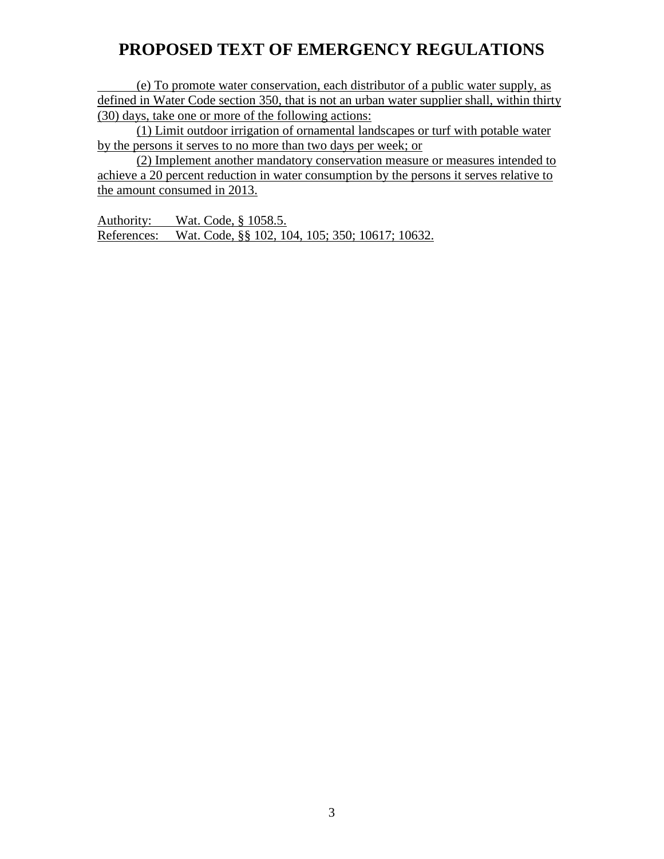### **PROPOSED TEXT OF EMERGENCY REGULATIONS**

(e) To promote water conservation, each distributor of a public water supply, as defined in Water Code section 350, that is not an urban water supplier shall, within thirty (30) days, take one or more of the following actions:

(1) Limit outdoor irrigation of ornamental landscapes or turf with potable water by the persons it serves to no more than two days per week; or

(2) Implement another mandatory conservation measure or measures intended to achieve a 20 percent reduction in water consumption by the persons it serves relative to the amount consumed in 2013.

Authority: Wat. Code, § 1058.5. References: Wat. Code, §§ 102, 104, 105; 350; 10617; 10632.